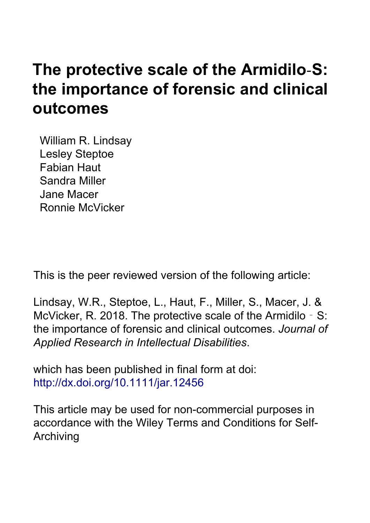# **The protective scale of the Armidilo‐S: the importance of forensic and clinical outcomes**

William R. Lindsay Lesley Steptoe Fabian Haut Sandra Miller Jane Macer Ronnie McVicker

This is the peer reviewed version of the following article:

Lindsay, W.R., Steptoe, L., Haut, F., Miller, S., Macer, J. & McVicker, R. 2018. The protective scale of the Armidilo - S: the importance of forensic and clinical outcomes. *Journal of Applied Research in Intellectual Disabilities*.

which has been published in final form at doi: <http://dx.doi.org/10.1111/jar.12456>

This article may be used for non-commercial purposes in accordance with the [Wiley Terms and Conditions for Self-](https://authorservices.wiley.com/author-resources/Journal-Authors/licensing-and-open-access/open-access/self-archiving.html)[Archiving](https://authorservices.wiley.com/author-resources/Journal-Authors/licensing-and-open-access/open-access/self-archiving.html)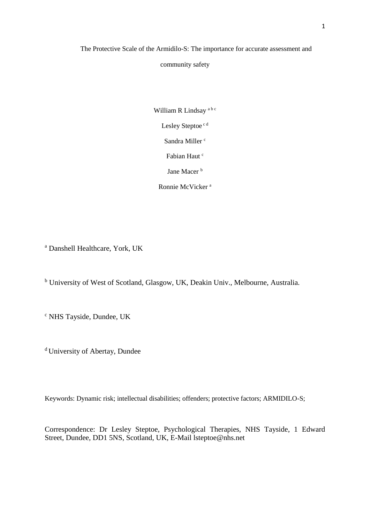The Protective Scale of the Armidilo-S: The importance for accurate assessment and

community safety

William R Lindsay<sup>abc</sup> Lesley Steptoe<sup>cd</sup> Sandra Miller<sup>c</sup> Fabian Haut c Jane Macer<sup>b</sup> Ronnie McVicker <sup>a</sup>

<sup>a</sup> Danshell Healthcare, York, UK

<sup>b</sup> University of West of Scotland, Glasgow, UK, Deakin Univ., Melbourne, Australia.

<sup>c</sup> NHS Tayside, Dundee, UK

<sup>d</sup> University of Abertay, Dundee

Keywords: Dynamic risk; intellectual disabilities; offenders; protective factors; ARMIDILO-S;

Correspondence: Dr Lesley Steptoe, Psychological Therapies, NHS Tayside, 1 Edward Street, Dundee, DD1 5NS, Scotland, UK, E-Mail lsteptoe@nhs.net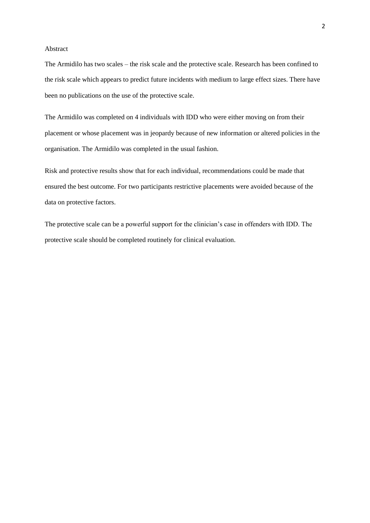#### Abstract

The Armidilo has two scales – the risk scale and the protective scale. Research has been confined to the risk scale which appears to predict future incidents with medium to large effect sizes. There have been no publications on the use of the protective scale.

The Armidilo was completed on 4 individuals with IDD who were either moving on from their placement or whose placement was in jeopardy because of new information or altered policies in the organisation. The Armidilo was completed in the usual fashion.

Risk and protective results show that for each individual, recommendations could be made that ensured the best outcome. For two participants restrictive placements were avoided because of the data on protective factors.

The protective scale can be a powerful support for the clinician's case in offenders with IDD. The protective scale should be completed routinely for clinical evaluation.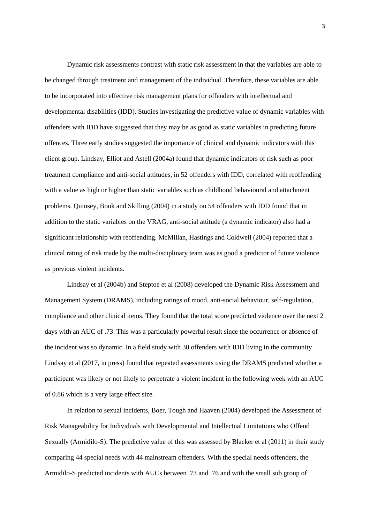Dynamic risk assessments contrast with static risk assessment in that the variables are able to be changed through treatment and management of the individual. Therefore, these variables are able to be incorporated into effective risk management plans for offenders with intellectual and developmental disabilities (IDD). Studies investigating the predictive value of dynamic variables with offenders with IDD have suggested that they may be as good as static variables in predicting future offences. Three early studies suggested the importance of clinical and dynamic indicators with this client group. Lindsay, Elliot and Astell (2004a) found that dynamic indicators of risk such as poor treatment compliance and anti-social attitudes, in 52 offenders with IDD, correlated with reoffending with a value as high or higher than static variables such as childhood behavioural and attachment problems. Quinsey, Book and Skilling (2004) in a study on 54 offenders with IDD found that in addition to the static variables on the VRAG, anti-social attitude (a dynamic indicator) also had a significant relationship with reoffending. McMillan, Hastings and Coldwell (2004) reported that a clinical rating of risk made by the multi-disciplinary team was as good a predictor of future violence as previous violent incidents.

Lindsay et al (2004b) and Steptoe et al (2008) developed the Dynamic Risk Assessment and Management System (DRAMS), including ratings of mood, anti-social behaviour, self-regulation, compliance and other clinical items. They found that the total score predicted violence over the next 2 days with an AUC of .73. This was a particularly powerful result since the occurrence or absence of the incident was so dynamic. In a field study with 30 offenders with IDD living in the community Lindsay et al (2017, in press) found that repeated assessments using the DRAMS predicted whether a participant was likely or not likely to perpetrate a violent incident in the following week with an AUC of 0.86 which is a very large effect size.

In relation to sexual incidents, Boer, Tough and Haaven (2004) developed the Assessment of Risk Manageability for Individuals with Developmental and Intellectual Limitations who Offend Sexually (Armidilo-S). The predictive value of this was assessed by Blacker et al (2011) in their study comparing 44 special needs with 44 mainstream offenders. With the special needs offenders, the Armidilo-S predicted incidents with AUCs between .73 and .76 and with the small sub group of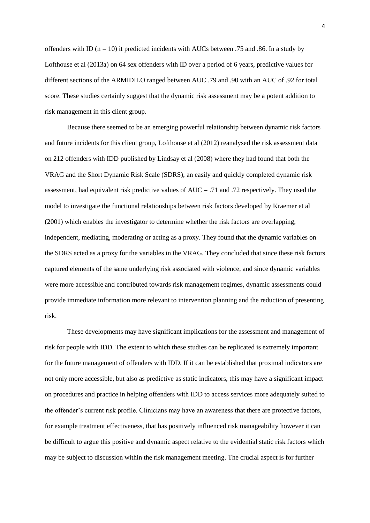offenders with ID ( $n = 10$ ) it predicted incidents with AUCs between .75 and .86. In a study by Lofthouse et al (2013a) on 64 sex offenders with ID over a period of 6 years, predictive values for different sections of the ARMIDILO ranged between AUC .79 and .90 with an AUC of .92 for total score. These studies certainly suggest that the dynamic risk assessment may be a potent addition to risk management in this client group.

Because there seemed to be an emerging powerful relationship between dynamic risk factors and future incidents for this client group, Lofthouse et al (2012) reanalysed the risk assessment data on 212 offenders with IDD published by Lindsay et al (2008) where they had found that both the VRAG and the Short Dynamic Risk Scale (SDRS), an easily and quickly completed dynamic risk assessment, had equivalent risk predictive values of AUC = .71 and .72 respectively. They used the model to investigate the functional relationships between risk factors developed by Kraemer et al (2001) which enables the investigator to determine whether the risk factors are overlapping, independent, mediating, moderating or acting as a proxy. They found that the dynamic variables on the SDRS acted as a proxy for the variables in the VRAG. They concluded that since these risk factors captured elements of the same underlying risk associated with violence, and since dynamic variables were more accessible and contributed towards risk management regimes, dynamic assessments could provide immediate information more relevant to intervention planning and the reduction of presenting risk.

These developments may have significant implications for the assessment and management of risk for people with IDD. The extent to which these studies can be replicated is extremely important for the future management of offenders with IDD. If it can be established that proximal indicators are not only more accessible, but also as predictive as static indicators, this may have a significant impact on procedures and practice in helping offenders with IDD to access services more adequately suited to the offender's current risk profile. Clinicians may have an awareness that there are protective factors, for example treatment effectiveness, that has positively influenced risk manageability however it can be difficult to argue this positive and dynamic aspect relative to the evidential static risk factors which may be subject to discussion within the risk management meeting. The crucial aspect is for further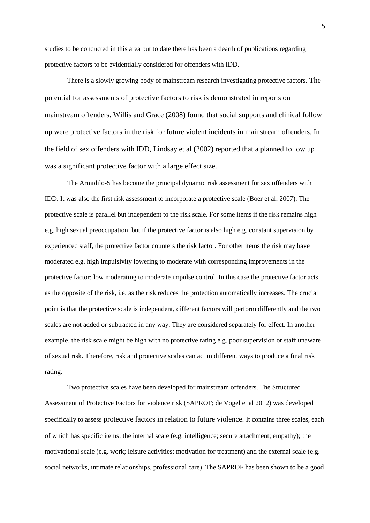studies to be conducted in this area but to date there has been a dearth of publications regarding protective factors to be evidentially considered for offenders with IDD.

There is a slowly growing body of mainstream research investigating protective factors. The potential for assessments of protective factors to risk is demonstrated in reports on mainstream offenders. Willis and Grace (2008) found that social supports and clinical follow up were protective factors in the risk for future violent incidents in mainstream offenders. In the field of sex offenders with IDD, Lindsay et al (2002) reported that a planned follow up was a significant protective factor with a large effect size.

The Armidilo-S has become the principal dynamic risk assessment for sex offenders with IDD. It was also the first risk assessment to incorporate a protective scale (Boer et al, 2007). The protective scale is parallel but independent to the risk scale. For some items if the risk remains high e.g. high sexual preoccupation, but if the protective factor is also high e.g. constant supervision by experienced staff, the protective factor counters the risk factor. For other items the risk may have moderated e.g. high impulsivity lowering to moderate with corresponding improvements in the protective factor: low moderating to moderate impulse control. In this case the protective factor acts as the opposite of the risk, i.e. as the risk reduces the protection automatically increases. The crucial point is that the protective scale is independent, different factors will perform differently and the two scales are not added or subtracted in any way. They are considered separately for effect. In another example, the risk scale might be high with no protective rating e.g. poor supervision or staff unaware of sexual risk. Therefore, risk and protective scales can act in different ways to produce a final risk rating.

Two protective scales have been developed for mainstream offenders. The Structured Assessment of Protective Factors for violence risk (SAPROF; de Vogel et al 2012) was developed specifically to assess protective factors in relation to future violence. It contains three scales, each of which has specific items: the internal scale (e.g. intelligence; secure attachment; empathy); the motivational scale (e.g. work; leisure activities; motivation for treatment) and the external scale (e.g. social networks, intimate relationships, professional care). The SAPROF has been shown to be a good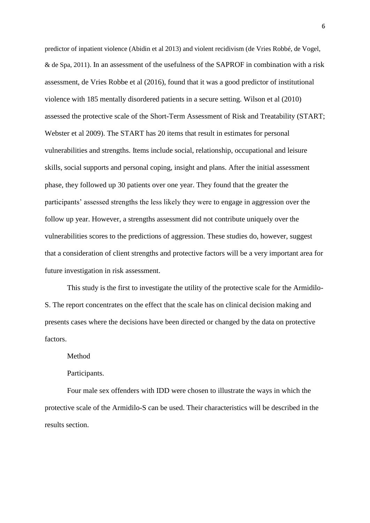predictor of inpatient violence (Abidin et al 2013) and violent recidivism (de Vries Robbé, de Vogel, & de Spa, 2011). In an assessment of the usefulness of the SAPROF in combination with a risk assessment, de Vries Robbe et al (2016), found that it was a good predictor of institutional violence with 185 mentally disordered patients in a secure setting. Wilson et al (2010) assessed the protective scale of the Short-Term Assessment of Risk and Treatability (START; Webster et al 2009). The START has 20 items that result in estimates for personal vulnerabilities and strengths. Items include social, relationship, occupational and leisure skills, social supports and personal coping, insight and plans. After the initial assessment phase, they followed up 30 patients over one year. They found that the greater the participants' assessed strengths the less likely they were to engage in aggression over the follow up year. However, a strengths assessment did not contribute uniquely over the vulnerabilities scores to the predictions of aggression. These studies do, however, suggest that a consideration of client strengths and protective factors will be a very important area for future investigation in risk assessment.

This study is the first to investigate the utility of the protective scale for the Armidilo-S. The report concentrates on the effect that the scale has on clinical decision making and presents cases where the decisions have been directed or changed by the data on protective factors.

Method

Participants.

Four male sex offenders with IDD were chosen to illustrate the ways in which the protective scale of the Armidilo-S can be used. Their characteristics will be described in the results section.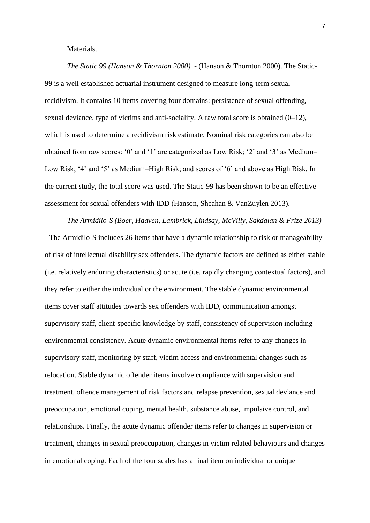### Materials.

*The Static 99 (Hanson & Thornton 2000).* - (Hanson & Thornton 2000). The Static-99 is a well established actuarial instrument designed to measure long-term sexual recidivism. It contains 10 items covering four domains: persistence of sexual offending, sexual deviance, type of victims and anti-sociality. A raw total score is obtained (0–12), which is used to determine a recidivism risk estimate. Nominal risk categories can also be obtained from raw scores: '0' and '1' are categorized as Low Risk; '2' and '3' as Medium– Low Risk; '4' and '5' as Medium–High Risk; and scores of '6' and above as High Risk. In the current study, the total score was used. The Static-99 has been shown to be an effective assessment for sexual offenders with IDD (Hanson, Sheahan & VanZuylen 2013).

*The Armidilo-S (Boer, Haaven, Lambrick, Lindsay, McVilly, Sakdalan & Frize 2013)* - The Armidilo-S includes 26 items that have a dynamic relationship to risk or manageability of risk of intellectual disability sex offenders. The dynamic factors are defined as either stable (i.e. relatively enduring characteristics) or acute (i.e. rapidly changing contextual factors), and they refer to either the individual or the environment. The stable dynamic environmental items cover staff attitudes towards sex offenders with IDD, communication amongst supervisory staff, client-specific knowledge by staff, consistency of supervision including environmental consistency. Acute dynamic environmental items refer to any changes in supervisory staff, monitoring by staff, victim access and environmental changes such as relocation. Stable dynamic offender items involve compliance with supervision and treatment, offence management of risk factors and relapse prevention, sexual deviance and preoccupation, emotional coping, mental health, substance abuse, impulsive control, and relationships. Finally, the acute dynamic offender items refer to changes in supervision or treatment, changes in sexual preoccupation, changes in victim related behaviours and changes in emotional coping. Each of the four scales has a final item on individual or unique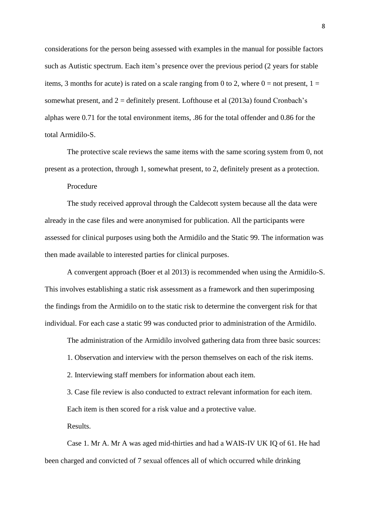considerations for the person being assessed with examples in the manual for possible factors such as Autistic spectrum. Each item's presence over the previous period (2 years for stable items, 3 months for acute) is rated on a scale ranging from 0 to 2, where  $0 =$  not present,  $1 =$ somewhat present, and  $2 =$  definitely present. Lofthouse et al  $(2013a)$  found Cronbach's alphas were 0.71 for the total environment items, .86 for the total offender and 0.86 for the total Armidilo-S.

The protective scale reviews the same items with the same scoring system from 0, not present as a protection, through 1, somewhat present, to 2, definitely present as a protection.

Procedure

The study received approval through the Caldecott system because all the data were already in the case files and were anonymised for publication. All the participants were assessed for clinical purposes using both the Armidilo and the Static 99. The information was then made available to interested parties for clinical purposes.

A convergent approach (Boer et al 2013) is recommended when using the Armidilo-S. This involves establishing a static risk assessment as a framework and then superimposing the findings from the Armidilo on to the static risk to determine the convergent risk for that individual. For each case a static 99 was conducted prior to administration of the Armidilo.

The administration of the Armidilo involved gathering data from three basic sources:

1. Observation and interview with the person themselves on each of the risk items.

2. Interviewing staff members for information about each item.

3. Case file review is also conducted to extract relevant information for each item.

Each item is then scored for a risk value and a protective value.

Results.

Case 1. Mr A. Mr A was aged mid-thirties and had a WAIS-IV UK IQ of 61. He had been charged and convicted of 7 sexual offences all of which occurred while drinking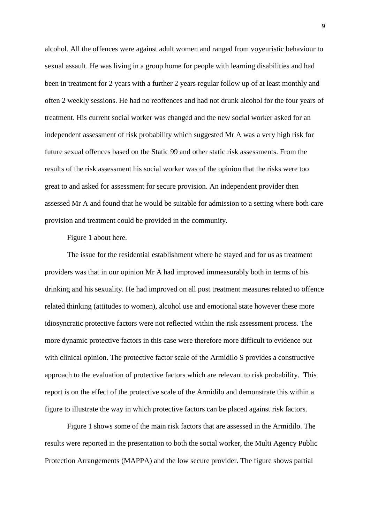alcohol. All the offences were against adult women and ranged from voyeuristic behaviour to sexual assault. He was living in a group home for people with learning disabilities and had been in treatment for 2 years with a further 2 years regular follow up of at least monthly and often 2 weekly sessions. He had no reoffences and had not drunk alcohol for the four years of treatment. His current social worker was changed and the new social worker asked for an independent assessment of risk probability which suggested Mr A was a very high risk for future sexual offences based on the Static 99 and other static risk assessments. From the results of the risk assessment his social worker was of the opinion that the risks were too great to and asked for assessment for secure provision. An independent provider then assessed Mr A and found that he would be suitable for admission to a setting where both care provision and treatment could be provided in the community.

Figure 1 about here.

The issue for the residential establishment where he stayed and for us as treatment providers was that in our opinion Mr A had improved immeasurably both in terms of his drinking and his sexuality. He had improved on all post treatment measures related to offence related thinking (attitudes to women), alcohol use and emotional state however these more idiosyncratic protective factors were not reflected within the risk assessment process. The more dynamic protective factors in this case were therefore more difficult to evidence out with clinical opinion. The protective factor scale of the Armidilo S provides a constructive approach to the evaluation of protective factors which are relevant to risk probability. This report is on the effect of the protective scale of the Armidilo and demonstrate this within a figure to illustrate the way in which protective factors can be placed against risk factors.

Figure 1 shows some of the main risk factors that are assessed in the Armidilo. The results were reported in the presentation to both the social worker, the Multi Agency Public Protection Arrangements (MAPPA) and the low secure provider. The figure shows partial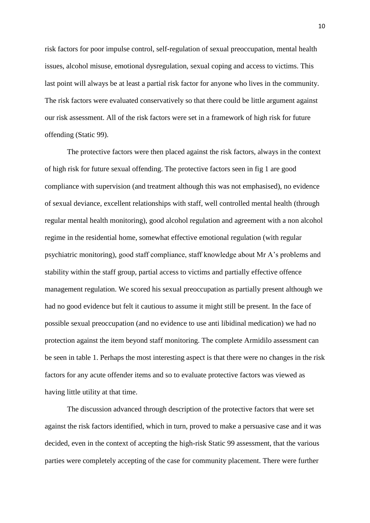risk factors for poor impulse control, self-regulation of sexual preoccupation, mental health issues, alcohol misuse, emotional dysregulation, sexual coping and access to victims. This last point will always be at least a partial risk factor for anyone who lives in the community. The risk factors were evaluated conservatively so that there could be little argument against our risk assessment. All of the risk factors were set in a framework of high risk for future offending (Static 99).

The protective factors were then placed against the risk factors, always in the context of high risk for future sexual offending. The protective factors seen in fig 1 are good compliance with supervision (and treatment although this was not emphasised), no evidence of sexual deviance, excellent relationships with staff, well controlled mental health (through regular mental health monitoring), good alcohol regulation and agreement with a non alcohol regime in the residential home, somewhat effective emotional regulation (with regular psychiatric monitoring), good staff compliance, staff knowledge about Mr A's problems and stability within the staff group, partial access to victims and partially effective offence management regulation. We scored his sexual preoccupation as partially present although we had no good evidence but felt it cautious to assume it might still be present. In the face of possible sexual preoccupation (and no evidence to use anti libidinal medication) we had no protection against the item beyond staff monitoring. The complete Armidilo assessment can be seen in table 1. Perhaps the most interesting aspect is that there were no changes in the risk factors for any acute offender items and so to evaluate protective factors was viewed as having little utility at that time.

The discussion advanced through description of the protective factors that were set against the risk factors identified, which in turn, proved to make a persuasive case and it was decided, even in the context of accepting the high-risk Static 99 assessment, that the various parties were completely accepting of the case for community placement. There were further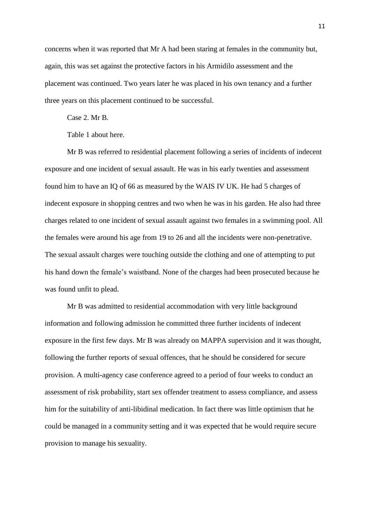concerns when it was reported that Mr A had been staring at females in the community but, again, this was set against the protective factors in his Armidilo assessment and the placement was continued. Two years later he was placed in his own tenancy and a further three years on this placement continued to be successful.

Case 2. Mr B.

Table 1 about here.

Mr B was referred to residential placement following a series of incidents of indecent exposure and one incident of sexual assault. He was in his early twenties and assessment found him to have an IQ of 66 as measured by the WAIS IV UK. He had 5 charges of indecent exposure in shopping centres and two when he was in his garden. He also had three charges related to one incident of sexual assault against two females in a swimming pool. All the females were around his age from 19 to 26 and all the incidents were non-penetrative. The sexual assault charges were touching outside the clothing and one of attempting to put his hand down the female's waistband. None of the charges had been prosecuted because he was found unfit to plead.

Mr B was admitted to residential accommodation with very little background information and following admission he committed three further incidents of indecent exposure in the first few days. Mr B was already on MAPPA supervision and it was thought, following the further reports of sexual offences, that he should be considered for secure provision. A multi-agency case conference agreed to a period of four weeks to conduct an assessment of risk probability, start sex offender treatment to assess compliance, and assess him for the suitability of anti-libidinal medication. In fact there was little optimism that he could be managed in a community setting and it was expected that he would require secure provision to manage his sexuality.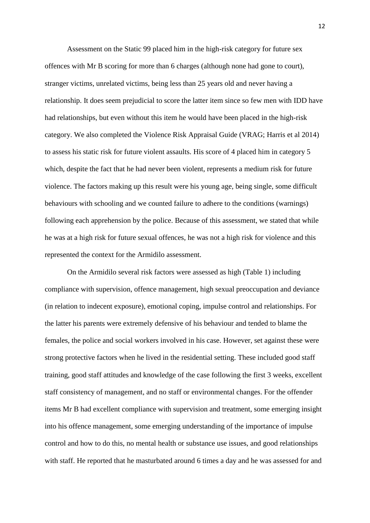Assessment on the Static 99 placed him in the high-risk category for future sex offences with Mr B scoring for more than 6 charges (although none had gone to court), stranger victims, unrelated victims, being less than 25 years old and never having a relationship. It does seem prejudicial to score the latter item since so few men with IDD have had relationships, but even without this item he would have been placed in the high-risk category. We also completed the Violence Risk Appraisal Guide (VRAG; Harris et al 2014) to assess his static risk for future violent assaults. His score of 4 placed him in category 5 which, despite the fact that he had never been violent, represents a medium risk for future violence. The factors making up this result were his young age, being single, some difficult behaviours with schooling and we counted failure to adhere to the conditions (warnings) following each apprehension by the police. Because of this assessment, we stated that while he was at a high risk for future sexual offences, he was not a high risk for violence and this represented the context for the Armidilo assessment.

On the Armidilo several risk factors were assessed as high (Table 1) including compliance with supervision, offence management, high sexual preoccupation and deviance (in relation to indecent exposure), emotional coping, impulse control and relationships. For the latter his parents were extremely defensive of his behaviour and tended to blame the females, the police and social workers involved in his case. However, set against these were strong protective factors when he lived in the residential setting. These included good staff training, good staff attitudes and knowledge of the case following the first 3 weeks, excellent staff consistency of management, and no staff or environmental changes. For the offender items Mr B had excellent compliance with supervision and treatment, some emerging insight into his offence management, some emerging understanding of the importance of impulse control and how to do this, no mental health or substance use issues, and good relationships with staff. He reported that he masturbated around 6 times a day and he was assessed for and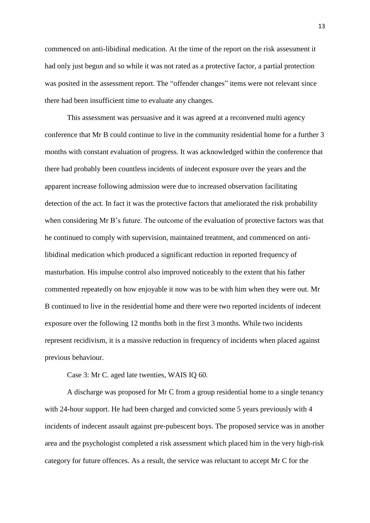commenced on anti-libidinal medication. At the time of the report on the risk assessment it had only just begun and so while it was not rated as a protective factor, a partial protection was posited in the assessment report. The "offender changes" items were not relevant since there had been insufficient time to evaluate any changes.

This assessment was persuasive and it was agreed at a reconvened multi agency conference that Mr B could continue to live in the community residential home for a further 3 months with constant evaluation of progress. It was acknowledged within the conference that there had probably been countless incidents of indecent exposure over the years and the apparent increase following admission were due to increased observation facilitating detection of the act. In fact it was the protective factors that ameliorated the risk probability when considering Mr B's future. The outcome of the evaluation of protective factors was that he continued to comply with supervision, maintained treatment, and commenced on antilibidinal medication which produced a significant reduction in reported frequency of masturbation. His impulse control also improved noticeably to the extent that his father commented repeatedly on how enjoyable it now was to be with him when they were out. Mr B continued to live in the residential home and there were two reported incidents of indecent exposure over the following 12 months both in the first 3 months. While two incidents represent recidivism, it is a massive reduction in frequency of incidents when placed against previous behaviour.

Case 3: Mr C. aged late twenties, WAIS IQ 60.

A discharge was proposed for Mr C from a group residential home to a single tenancy with 24-hour support. He had been charged and convicted some 5 years previously with 4 incidents of indecent assault against pre-pubescent boys. The proposed service was in another area and the psychologist completed a risk assessment which placed him in the very high-risk category for future offences. As a result, the service was reluctant to accept Mr C for the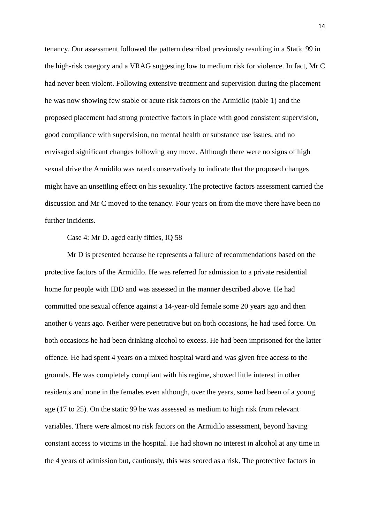tenancy. Our assessment followed the pattern described previously resulting in a Static 99 in the high-risk category and a VRAG suggesting low to medium risk for violence. In fact, Mr C had never been violent. Following extensive treatment and supervision during the placement he was now showing few stable or acute risk factors on the Armidilo (table 1) and the proposed placement had strong protective factors in place with good consistent supervision, good compliance with supervision, no mental health or substance use issues, and no envisaged significant changes following any move. Although there were no signs of high sexual drive the Armidilo was rated conservatively to indicate that the proposed changes might have an unsettling effect on his sexuality. The protective factors assessment carried the discussion and Mr C moved to the tenancy. Four years on from the move there have been no further incidents.

#### Case 4: Mr D. aged early fifties, IQ 58

Mr D is presented because he represents a failure of recommendations based on the protective factors of the Armidilo. He was referred for admission to a private residential home for people with IDD and was assessed in the manner described above. He had committed one sexual offence against a 14-year-old female some 20 years ago and then another 6 years ago. Neither were penetrative but on both occasions, he had used force. On both occasions he had been drinking alcohol to excess. He had been imprisoned for the latter offence. He had spent 4 years on a mixed hospital ward and was given free access to the grounds. He was completely compliant with his regime, showed little interest in other residents and none in the females even although, over the years, some had been of a young age (17 to 25). On the static 99 he was assessed as medium to high risk from relevant variables. There were almost no risk factors on the Armidilo assessment, beyond having constant access to victims in the hospital. He had shown no interest in alcohol at any time in the 4 years of admission but, cautiously, this was scored as a risk. The protective factors in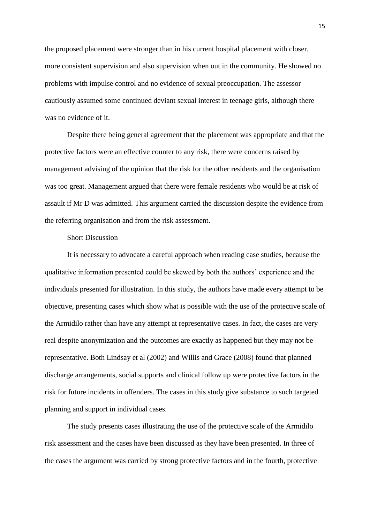the proposed placement were stronger than in his current hospital placement with closer, more consistent supervision and also supervision when out in the community. He showed no problems with impulse control and no evidence of sexual preoccupation. The assessor cautiously assumed some continued deviant sexual interest in teenage girls, although there was no evidence of it.

Despite there being general agreement that the placement was appropriate and that the protective factors were an effective counter to any risk, there were concerns raised by management advising of the opinion that the risk for the other residents and the organisation was too great. Management argued that there were female residents who would be at risk of assault if Mr D was admitted. This argument carried the discussion despite the evidence from the referring organisation and from the risk assessment.

## Short Discussion

It is necessary to advocate a careful approach when reading case studies, because the qualitative information presented could be skewed by both the authors' experience and the individuals presented for illustration. In this study, the authors have made every attempt to be objective, presenting cases which show what is possible with the use of the protective scale of the Armidilo rather than have any attempt at representative cases. In fact, the cases are very real despite anonymization and the outcomes are exactly as happened but they may not be representative. Both Lindsay et al (2002) and Willis and Grace (2008) found that planned discharge arrangements, social supports and clinical follow up were protective factors in the risk for future incidents in offenders. The cases in this study give substance to such targeted planning and support in individual cases.

The study presents cases illustrating the use of the protective scale of the Armidilo risk assessment and the cases have been discussed as they have been presented. In three of the cases the argument was carried by strong protective factors and in the fourth, protective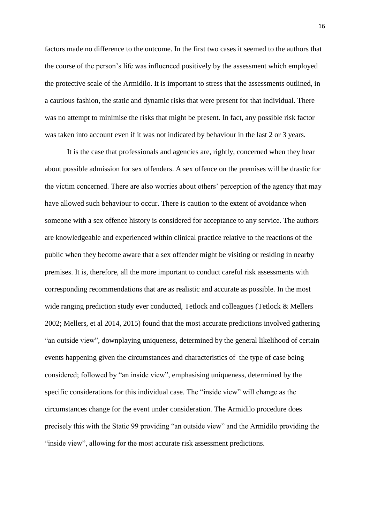factors made no difference to the outcome. In the first two cases it seemed to the authors that the course of the person's life was influenced positively by the assessment which employed the protective scale of the Armidilo. It is important to stress that the assessments outlined, in a cautious fashion, the static and dynamic risks that were present for that individual. There was no attempt to minimise the risks that might be present. In fact, any possible risk factor was taken into account even if it was not indicated by behaviour in the last 2 or 3 years.

It is the case that professionals and agencies are, rightly, concerned when they hear about possible admission for sex offenders. A sex offence on the premises will be drastic for the victim concerned. There are also worries about others' perception of the agency that may have allowed such behaviour to occur. There is caution to the extent of avoidance when someone with a sex offence history is considered for acceptance to any service. The authors are knowledgeable and experienced within clinical practice relative to the reactions of the public when they become aware that a sex offender might be visiting or residing in nearby premises. It is, therefore, all the more important to conduct careful risk assessments with corresponding recommendations that are as realistic and accurate as possible. In the most wide ranging prediction study ever conducted, Tetlock and colleagues (Tetlock & Mellers 2002; Mellers, et al 2014, 2015) found that the most accurate predictions involved gathering "an outside view", downplaying uniqueness, determined by the general likelihood of certain events happening given the circumstances and characteristics of the type of case being considered; followed by "an inside view", emphasising uniqueness, determined by the specific considerations for this individual case. The "inside view" will change as the circumstances change for the event under consideration. The Armidilo procedure does precisely this with the Static 99 providing "an outside view" and the Armidilo providing the "inside view", allowing for the most accurate risk assessment predictions.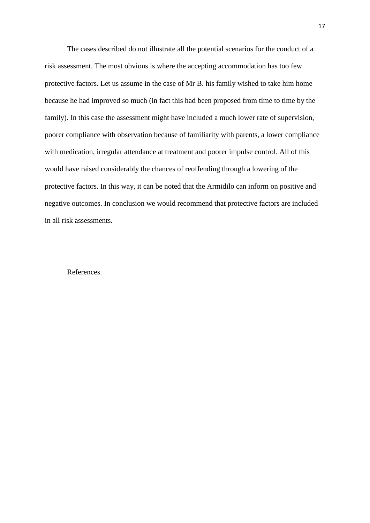The cases described do not illustrate all the potential scenarios for the conduct of a risk assessment. The most obvious is where the accepting accommodation has too few protective factors. Let us assume in the case of Mr B. his family wished to take him home because he had improved so much (in fact this had been proposed from time to time by the family). In this case the assessment might have included a much lower rate of supervision, poorer compliance with observation because of familiarity with parents, a lower compliance with medication, irregular attendance at treatment and poorer impulse control. All of this would have raised considerably the chances of reoffending through a lowering of the protective factors. In this way, it can be noted that the Armidilo can inform on positive and negative outcomes. In conclusion we would recommend that protective factors are included in all risk assessments.

#### References.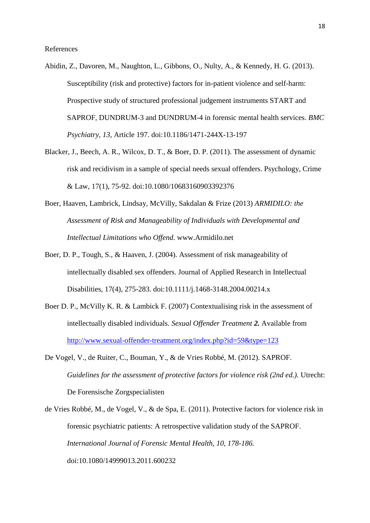- Abidin, Z., Davoren, M., Naughton, L., Gibbons, O., Nulty, A., & Kennedy, H. G. (2013). Susceptibility (risk and protective) factors for in-patient violence and self-harm: Prospective study of structured professional judgement instruments START and SAPROF, DUNDRUM-3 and DUNDRUM-4 in forensic mental health services. *BMC Psychiatry, 13,* Article 197. doi:10.1186/1471-244X-13-197
- Blacker, J., Beech, A. R., Wilcox, D. T., & Boer, D. P. (2011). The assessment of dynamic risk and recidivism in a sample of special needs sexual offenders. Psychology, Crime & Law, 17(1), 75-92. doi:10.1080/10683160903392376
- Boer, Haaven, Lambrick, Lindsay, McVilly, Sakdalan & Frize (2013) *ARMIDILO: the Assessment of Risk and Manageability of Individuals with Developmental and Intellectual Limitations who Offend.* www.Armidilo.net
- Boer, D. P., Tough, S., & Haaven, J. (2004). Assessment of risk manageability of intellectually disabled sex offenders. Journal of Applied Research in Intellectual Disabilities, 17(4), 275-283. doi:10.1111/j.1468-3148.2004.00214.x
- Boer D. P., McVilly K. R. & Lambick F. (2007) Contextualising risk in the assessment of intellectually disabled individuals. *Sexual Offender Treatment 2.* Available from <http://www.sexual-offender-treatment.org/index.php?id=59&type=123>
- De Vogel, V., de Ruiter, C., Bouman, Y., & de Vries Robbé, M. (2012). SAPROF. *Guidelines for the assessment of protective factors for violence risk (2nd ed.).* Utrecht: De Forensische Zorgspecialisten
- de Vries Robbé, M., de Vogel, V., & de Spa, E. (2011). Protective factors for violence risk in forensic psychiatric patients: A retrospective validation study of the SAPROF. *International Journal of Forensic Mental Health, 10, 178-186.* doi:10.1080/14999013.2011.600232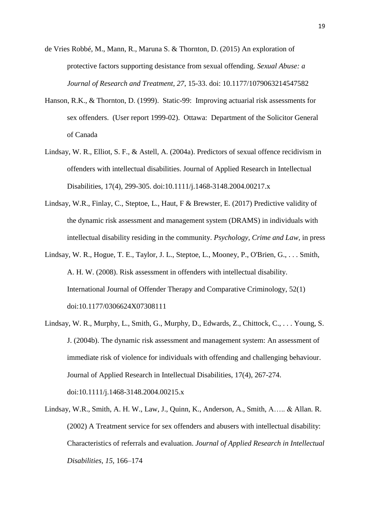de Vries Robbé, M., Mann, R., Maruna S. & Thornton, D. (2015) An exploration of protective factors supporting desistance from sexual offending. *Sexual Abuse: a Journal of Research and Treatment, 27*, 15-33. doi: 10.1177/1079063214547582

- Hanson, R.K., & Thornton, D. (1999). Static-99: Improving actuarial risk assessments for sex offenders. (User report 1999-02). Ottawa: Department of the Solicitor General of Canada
- Lindsay, W. R., Elliot, S. F., & Astell, A. (2004a). Predictors of sexual offence recidivism in offenders with intellectual disabilities. Journal of Applied Research in Intellectual Disabilities, 17(4), 299-305. doi:10.1111/j.1468-3148.2004.00217.x
- Lindsay, W.R., Finlay, C., Steptoe, L., Haut, F & Brewster, E. (2017) Predictive validity of the dynamic risk assessment and management system (DRAMS) in individuals with intellectual disability residing in the community. *Psychology, Crime and Law,* in press
- Lindsay, W. R., Hogue, T. E., Taylor, J. L., Steptoe, L., Mooney, P., O'Brien, G., . . . Smith, A. H. W. (2008). Risk assessment in offenders with intellectual disability. International Journal of Offender Therapy and Comparative Criminology, 52(1) doi:10.1177/0306624X07308111
- Lindsay, W. R., Murphy, L., Smith, G., Murphy, D., Edwards, Z., Chittock, C., . . . Young, S. J. (2004b). The dynamic risk assessment and management system: An assessment of immediate risk of violence for individuals with offending and challenging behaviour. Journal of Applied Research in Intellectual Disabilities, 17(4), 267-274. doi:10.1111/j.1468-3148.2004.00215.x
- Lindsay, W.R., Smith, A. H. W., Law, J., Quinn, K., Anderson, A., Smith, A….. & Allan. R. (2002) A Treatment service for sex offenders and abusers with intellectual disability: Characteristics of referrals and evaluation. *Journal of Applied Research in Intellectual Disabilities, 15,* 166–174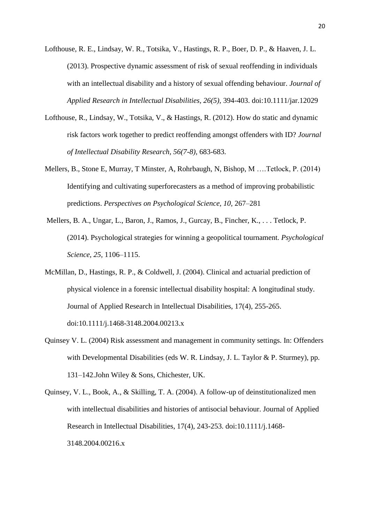- Lofthouse, R. E., Lindsay, W. R., Totsika, V., Hastings, R. P., Boer, D. P., & Haaven, J. L. (2013). Prospective dynamic assessment of risk of sexual reoffending in individuals with an intellectual disability and a history of sexual offending behaviour. *Journal of Applied Research in Intellectual Disabilities, 26(5),* 394-403. doi:10.1111/jar.12029
- Lofthouse, R., Lindsay, W., Totsika, V., & Hastings, R. (2012). How do static and dynamic risk factors work together to predict reoffending amongst offenders with ID? *Journal of Intellectual Disability Research, 56(7-8),* 683-683.
- Mellers, B., Stone E, Murray, T Minster, A, Rohrbaugh, N, Bishop, M ….Tetlock, P. (2014) Identifying and cultivating superforecasters as a method of improving probabilistic predictions. *Perspectives on Psychological Science, 10,* 267–281
- Mellers, B. A., Ungar, L., Baron, J., Ramos, J., Gurcay, B., Fincher, K., . . . Tetlock, P. (2014). Psychological strategies for winning a geopolitical tournament. *Psychological Science, 25,* 1106–1115.
- McMillan, D., Hastings, R. P., & Coldwell, J. (2004). Clinical and actuarial prediction of physical violence in a forensic intellectual disability hospital: A longitudinal study. Journal of Applied Research in Intellectual Disabilities, 17(4), 255-265. doi:10.1111/j.1468-3148.2004.00213.x
- Quinsey V. L. (2004) Risk assessment and management in community settings. In: Offenders with Developmental Disabilities (eds W. R. Lindsay, J. L. Taylor & P. Sturmey), pp. 131–142.John Wiley & Sons, Chichester, UK.
- Quinsey, V. L., Book, A., & Skilling, T. A. (2004). A follow-up of deinstitutionalized men with intellectual disabilities and histories of antisocial behaviour. Journal of Applied Research in Intellectual Disabilities, 17(4), 243-253. doi:10.1111/j.1468- 3148.2004.00216.x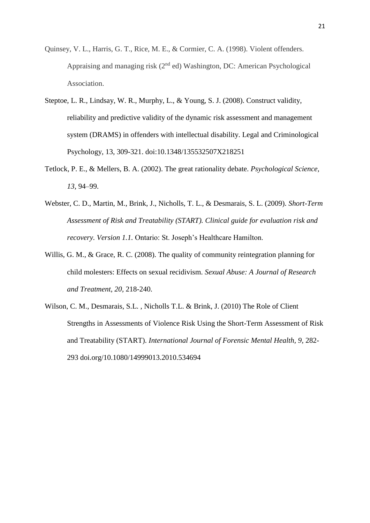- Quinsey, V. L., Harris, G. T., Rice, M. E., & Cormier, C. A. (1998). Violent offenders. Appraising and managing risk (2nd ed) Washington, DC: American Psychological Association.
- Steptoe, L. R., Lindsay, W. R., Murphy, L., & Young, S. J. (2008). Construct validity, reliability and predictive validity of the dynamic risk assessment and management system (DRAMS) in offenders with intellectual disability. Legal and Criminological Psychology, 13, 309-321. doi:10.1348/135532507X218251
- Tetlock, P. E., & Mellers, B. A. (2002). The great rationality debate. *Psychological Science, 13,* 94–99.
- Webster, C. D., Martin, M., Brink, J., Nicholls, T. L., & Desmarais, S. L. (2009). *Short-Term Assessment of Risk and Treatability (START). Clinical guide for evaluation risk and recovery. Version 1.1.* Ontario: St. Joseph's Healthcare Hamilton.
- Willis, G. M., & Grace, R. C. (2008). The quality of community reintegration planning for child molesters: Effects on sexual recidivism. *Sexual Abuse: A Journal of Research and Treatment, 20,* 218-240.
- Wilson, C. M., Desmarais, S.L. , Nicholls T.L. & Brink, J. (2010) The Role of Client Strengths in Assessments of Violence Risk Using the Short-Term Assessment of Risk and Treatability (START). *International Journal of Forensic Mental Health, 9,* 282- 293 doi.org/10.1080/14999013.2010.534694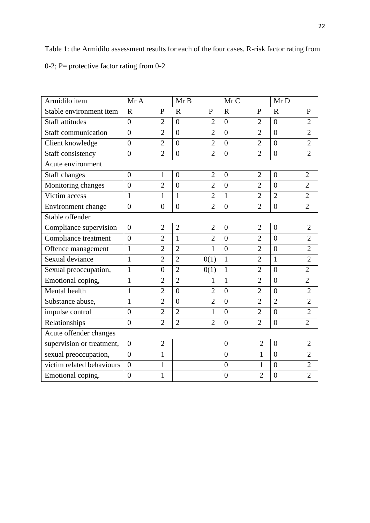Table 1: the Armidilo assessment results for each of the four cases. R-risk factor rating from 0-2; P= protective factor rating from 0-2

| Armidilo item             | Mr A           |                  | MrB            |                | Mr C           |                | Mr D           |                |
|---------------------------|----------------|------------------|----------------|----------------|----------------|----------------|----------------|----------------|
| Stable environment item   | $\mathbf R$    | P                | $\mathbf R$    | $\mathbf{P}$   | $\mathbf R$    | $\mathbf{P}$   | $\mathbf R$    | $\mathbf{P}$   |
| <b>Staff attitudes</b>    | $\theta$       | $\overline{2}$   | $\theta$       | $\overline{2}$ | $\overline{0}$ | $\overline{2}$ | $\overline{0}$ | $\overline{2}$ |
| Staff communication       | $\theta$       | $\overline{2}$   | $\theta$       | $\overline{2}$ | $\theta$       | $\overline{2}$ | $\theta$       | $\overline{2}$ |
| Client knowledge          | $\theta$       | $\overline{2}$   | $\theta$       | $\overline{2}$ | $\theta$       | $\overline{2}$ | $\theta$       | $\overline{2}$ |
| Staff consistency         | $\theta$       | $\overline{2}$   | $\overline{0}$ | $\overline{2}$ | $\overline{0}$ | $\overline{2}$ | $\overline{0}$ | $\overline{2}$ |
| Acute environment         |                |                  |                |                |                |                |                |                |
| Staff changes             | $\overline{0}$ | $\mathbf{1}$     | $\overline{0}$ | $\overline{2}$ | $\overline{0}$ | $\overline{2}$ | $\overline{0}$ | $\overline{2}$ |
| Monitoring changes        | $\overline{0}$ | $\overline{2}$   | $\overline{0}$ | $\overline{2}$ | $\overline{0}$ | $\overline{2}$ | $\theta$       | $\overline{2}$ |
| Victim access             | $\mathbf{1}$   | $\mathbf{1}$     | $\mathbf{1}$   | $\overline{2}$ | $\mathbf{1}$   | $\overline{2}$ | $\overline{2}$ | $\overline{2}$ |
| Environment change        | $\overline{0}$ | $\boldsymbol{0}$ | $\overline{0}$ | $\overline{2}$ | $\overline{0}$ | $\overline{2}$ | $\overline{0}$ | $\overline{2}$ |
| Stable offender           |                |                  |                |                |                |                |                |                |
| Compliance supervision    | $\overline{0}$ | $\overline{2}$   | $\overline{2}$ | $\overline{2}$ | $\overline{0}$ | $\overline{2}$ | $\overline{0}$ | $\overline{2}$ |
| Compliance treatment      | $\overline{0}$ | $\overline{2}$   | 1              | $\overline{2}$ | $\overline{0}$ | $\overline{2}$ | $\overline{0}$ | $\overline{2}$ |
| Offence management        | $\mathbf{1}$   | $\overline{2}$   | $\overline{2}$ | $\mathbf{1}$   | $\overline{0}$ | $\overline{2}$ | $\overline{0}$ | $\overline{2}$ |
| Sexual deviance           | $\mathbf{1}$   | $\overline{2}$   | $\overline{2}$ | 0(1)           | $\mathbf{1}$   | $\overline{2}$ | $\mathbf{1}$   | $\overline{2}$ |
| Sexual preoccupation,     | $\mathbf{1}$   | $\overline{0}$   | $\overline{2}$ | 0(1)           | $\mathbf{1}$   | $\overline{2}$ | $\theta$       | $\overline{2}$ |
| Emotional coping,         | $\mathbf{1}$   | $\overline{2}$   | $\overline{2}$ | $\mathbf{1}$   | $\mathbf{1}$   | $\overline{2}$ | $\overline{0}$ | $\overline{2}$ |
| Mental health             | $\mathbf{1}$   | $\overline{2}$   | $\overline{0}$ | $\overline{2}$ | $\overline{0}$ | $\overline{2}$ | $\overline{0}$ | $\overline{2}$ |
| Substance abuse,          | $\mathbf{1}$   | $\overline{2}$   | $\overline{0}$ | $\overline{2}$ | $\overline{0}$ | $\overline{2}$ | $\overline{2}$ | $\overline{2}$ |
| impulse control           | $\overline{0}$ | $\overline{2}$   | $\overline{2}$ | $\mathbf{1}$   | $\overline{0}$ | $\overline{2}$ | $\overline{0}$ | $\overline{2}$ |
| Relationships             | $\theta$       | $\overline{2}$   | $\overline{2}$ | $\overline{2}$ | $\overline{0}$ | $\overline{2}$ | $\overline{0}$ | $\overline{2}$ |
| Acute offender changes    |                |                  |                |                |                |                |                |                |
| supervision or treatment, | $\overline{0}$ | $\overline{2}$   |                |                | $\mathbf{0}$   | $\overline{2}$ | $\overline{0}$ | $\overline{2}$ |
| sexual preoccupation,     | $\theta$       | $\mathbf{1}$     |                |                | $\overline{0}$ | $\mathbf{1}$   | $\theta$       | $\overline{2}$ |
| victim related behaviours | $\overline{0}$ | $\mathbf{1}$     |                |                | $\overline{0}$ | 1              | $\overline{0}$ | $\overline{2}$ |
| Emotional coping.         | $\overline{0}$ | $\mathbf{1}$     |                |                | $\overline{0}$ | $\overline{2}$ | $\overline{0}$ | $\overline{2}$ |